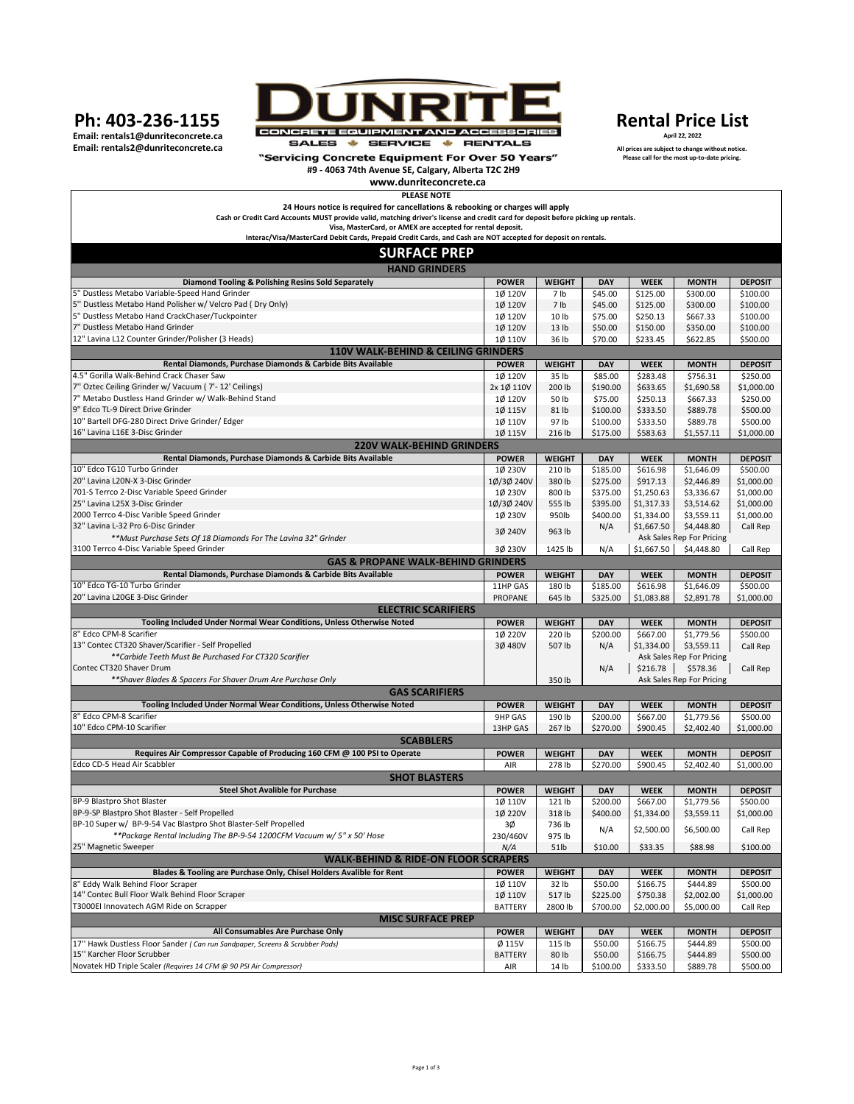Ph: 403-236-1155

Email: rentals1@dunriteconcrete.ca Email: rentals2@dunriteconcrete.ca



"Servicing Concrete Equipment For Over 50 Years" #9 - 4063 74th Avenue SE, Calgary, Alberta T2C 2H9

## **Rental Price List** April 22, 2022

All prices are subject to change without notice.<br>Please call for the most up-to-date pricing.

| www.dunriteconcrete.ca                                                                                                            |                          |                         |                 |                         |                                         |                            |
|-----------------------------------------------------------------------------------------------------------------------------------|--------------------------|-------------------------|-----------------|-------------------------|-----------------------------------------|----------------------------|
| <b>PLEASE NOTE</b>                                                                                                                |                          |                         |                 |                         |                                         |                            |
| 24 Hours notice is required for cancellations & rebooking or charges will apply                                                   |                          |                         |                 |                         |                                         |                            |
| Cash or Credit Card Accounts MUST provide valid, matching driver's license and credit card for deposit before picking up rentals. |                          |                         |                 |                         |                                         |                            |
| Visa, MasterCard, or AMEX are accepted for rental deposit.                                                                        |                          |                         |                 |                         |                                         |                            |
| Interac/Visa/MasterCard Debit Cards, Prepaid Credit Cards, and Cash are NOT accepted for deposit on rentals.                      |                          |                         |                 |                         |                                         |                            |
| <b>SURFACE PREP</b>                                                                                                               |                          |                         |                 |                         |                                         |                            |
| <b>HAND GRINDERS</b>                                                                                                              |                          |                         |                 |                         |                                         |                            |
| Diamond Tooling & Polishing Resins Sold Separately                                                                                | <b>POWER</b>             | <b>WEIGHT</b>           | DAY             | <b>WEEK</b>             | <b>MONTH</b>                            | <b>DEPOSIT</b>             |
| 5" Dustless Metabo Variable-Speed Hand Grinder                                                                                    | 1Ø 120V                  | 7 lb                    | \$45.00         | \$125.00                | \$300.00                                | \$100.00                   |
| 5" Dustless Metabo Hand Polisher w/ Velcro Pad (Dry Only)                                                                         | 1Ø 120V                  | 7 lb                    | \$45.00         | \$125.00                | \$300.00                                | \$100.00                   |
| 5" Dustless Metabo Hand CrackChaser/Tuckpointer                                                                                   | 10 120V                  | 10 lb                   | \$75.00         | \$250.13                | \$667.33                                | \$100.00                   |
| 7" Dustless Metabo Hand Grinder                                                                                                   | 1Ø 120V                  | 13 lb                   | \$50.00         | \$150.00                | \$350.00                                | \$100.00                   |
| 12" Lavina L12 Counter Grinder/Polisher (3 Heads)                                                                                 | 1Ø 110V                  | 36 lb                   | \$70.00         | \$233.45                | \$622.85                                | \$500.00                   |
| <b>110V WALK-BEHIND &amp; CEILING GRINDERS</b>                                                                                    |                          |                         |                 |                         |                                         |                            |
| Rental Diamonds, Purchase Diamonds & Carbide Bits Available                                                                       | <b>POWER</b>             | <b>WEIGHT</b>           | <b>DAY</b>      | <b>WEEK</b>             | <b>MONTH</b>                            | <b>DEPOSIT</b>             |
| 4.5" Gorilla Walk-Behind Crack Chaser Saw                                                                                         | 1Ø 120V                  | 35 lb                   | \$85.00         | \$283.48                | \$756.31                                | \$250.00                   |
| 7" Oztec Ceiling Grinder w/ Vacuum ( 7'- 12' Ceilings)                                                                            | 2x 1Ø 110V               | 200 lb                  | \$190.00        | \$633.65                | \$1,690.58                              | \$1,000.00                 |
| 7" Metabo Dustless Hand Grinder w/ Walk-Behind Stand                                                                              | 1Ø 120V                  | 50 lb                   | \$75.00         | \$250.13                | \$667.33                                | \$250.00                   |
| 9" Edco TL-9 Direct Drive Grinder                                                                                                 | 1Ø 115V                  | 81 lb                   | \$100.00        | \$333.50                | \$889.78                                | \$500.00                   |
| 10" Bartell DFG-280 Direct Drive Grinder/ Edger                                                                                   | 1Ø 110V                  | 97 lb                   | \$100.00        | \$333.50                | \$889.78                                | \$500.00                   |
| 16" Lavina L16E 3-Disc Grinder                                                                                                    | 1Ø 115V                  | 216 lb                  | \$175.00        | \$583.63                | \$1,557.11                              | \$1,000.00                 |
| <b>220V WALK-BEHIND GRINDERS</b>                                                                                                  |                          |                         |                 |                         |                                         |                            |
| Rental Diamonds, Purchase Diamonds & Carbide Bits Available                                                                       | <b>POWER</b>             | <b>WEIGHT</b>           | <b>DAY</b>      | <b>WEEK</b>             | <b>MONTH</b>                            | <b>DEPOSIT</b>             |
| 10" Edco TG10 Turbo Grinder                                                                                                       | 1Ø 230V                  | 210 lb                  | \$185.00        | \$616.98                | \$1,646.09                              | \$500.00                   |
| 20" Lavina L20N-X 3-Disc Grinder                                                                                                  | 1Ø/3Ø 240V               | 380 lb                  | \$275.00        |                         |                                         |                            |
| 701-S Terrco 2-Disc Variable Speed Grinder                                                                                        | 1Ø 230V                  | 800 lb                  | \$375.00        | \$917.13<br>\$1,250.63  | \$2,446.89                              | \$1,000.00<br>\$1,000.00   |
| 25" Lavina L25X 3-Disc Grinder                                                                                                    | 1Ø/3Ø 240V               | 555 lb                  | \$395.00        | \$1,317.33              | \$3,336.67<br>\$3,514.62                | \$1,000.00                 |
| 2000 Terrco 4-Disc Varible Speed Grinder                                                                                          |                          | 950lb                   |                 | \$1,334.00              | \$3,559.11                              | \$1,000.00                 |
| 32" Lavina L-32 Pro 6-Disc Grinder                                                                                                | 1Ø 230V                  |                         | \$400.00        |                         |                                         |                            |
| **Must Purchase Sets Of 18 Diamonds For The Lavina 32" Grinder                                                                    | 3Ø 240V                  | 963 lb                  | N/A             | \$1,667.50              | \$4,448.80<br>Ask Sales Rep For Pricing | Call Rep                   |
| 3100 Terrco 4-Disc Variable Speed Grinder                                                                                         | 3Ø 230V                  | 1425 lb                 |                 | \$1,667.50              |                                         | Call Rep                   |
|                                                                                                                                   |                          |                         | N/A             |                         | \$4,448.80                              |                            |
| <b>GAS &amp; PROPANE WALK-BEHIND GRINDERS</b><br>Rental Diamonds, Purchase Diamonds & Carbide Bits Available                      |                          |                         |                 |                         |                                         |                            |
| 10" Edco TG-10 Turbo Grinder                                                                                                      | <b>POWER</b><br>11HP GAS | <b>WEIGHT</b><br>180 lb | DAY<br>\$185.00 | <b>WEEK</b><br>\$616.98 | <b>MONTH</b><br>\$1,646.09              | <b>DEPOSIT</b><br>\$500.00 |
| 20" Lavina L20GE 3-Disc Grinder                                                                                                   | PROPANE                  | 645 lb                  | \$325.00        | \$1,083.88              | \$2,891.78                              | \$1,000.00                 |
| <b>ELECTRIC SCARIFIERS</b>                                                                                                        |                          |                         |                 |                         |                                         |                            |
| Tooling Included Under Normal Wear Conditions, Unless Otherwise Noted                                                             | <b>POWER</b>             | <b>WEIGHT</b>           | <b>DAY</b>      | <b>WEEK</b>             | <b>MONTH</b>                            | <b>DEPOSIT</b>             |
| 8" Edco CPM-8 Scarifier                                                                                                           | 1Ø 220V                  | 220 lb                  | \$200.00        | \$667.00                | \$1,779.56                              | \$500.00                   |
| 13" Contec CT320 Shaver/Scarifier - Self Propelled                                                                                | 3Ø 480V                  | 507 lb                  | N/A             | \$1,334.00              | \$3,559.11                              | Call Rep                   |
| **Carbide Teeth Must Be Purchased For CT320 Scarifier                                                                             |                          |                         |                 |                         | Ask Sales Rep For Pricing               |                            |
| Contec CT320 Shaver Drum                                                                                                          |                          |                         | N/A             | \$216.78                | \$578.36                                | Call Rep                   |
| ** Shaver Blades & Spacers For Shaver Drum Are Purchase Only                                                                      |                          | 350 lb                  |                 |                         | Ask Sales Rep For Pricing               |                            |
| <b>GAS SCARIFIERS</b>                                                                                                             |                          |                         |                 |                         |                                         |                            |
| Tooling Included Under Normal Wear Conditions, Unless Otherwise Noted                                                             | <b>POWER</b>             | <b>WEIGHT</b>           | <b>DAY</b>      | <b>WEEK</b>             | <b>MONTH</b>                            | <b>DEPOSIT</b>             |
| 8" Edco CPM-8 Scarifier                                                                                                           | 9HP GAS                  | 190 lb                  | \$200.00        | \$667.00                | \$1,779.56                              | \$500.00                   |
| 10" Edco CPM-10 Scarifier                                                                                                         | 13HP GAS                 | 267 lb                  | \$270.00        | \$900.45                | \$2,402.40                              | \$1,000.00                 |
| <b>SCABBLERS</b>                                                                                                                  |                          |                         |                 |                         |                                         |                            |
| Requires Air Compressor Capable of Producing 160 CFM @ 100 PSI to Operate                                                         | <b>POWER</b>             | <b>WEIGHT</b>           | <b>DAY</b>      | <b>WEEK</b>             | <b>MONTH</b>                            | <b>DEPOSIT</b>             |
| Edco CD-5 Head Air Scabbler                                                                                                       | AIR                      | 278 lb                  | \$270.00        | \$900.45                | \$2,402.40                              | \$1,000.00                 |
| <b>SHOT BLASTERS</b>                                                                                                              |                          |                         |                 |                         |                                         |                            |
| <b>Steel Shot Avalible for Purchase</b>                                                                                           |                          |                         |                 |                         |                                         |                            |
| BP-9 Blastoro Shot Blaster                                                                                                        | <b>POWER</b>             | <b>WEIGHT</b>           | DAY<br>\$200.00 | <b>WEEK</b>             | <b>MONTH</b><br>\$1,779.56              | <b>DEPOSIT</b>             |
| BP-9-SP Blastpro Shot Blaster - Self Propelled                                                                                    | 1Ø 110V<br>1Ø 220V       | 121 lb<br>318 lb        | \$400.00        | \$667.00<br>\$1,334.00  |                                         | \$500.00<br>\$1,000.00     |
| BP-10 Super w/ BP-9-54 Vac Blastpro Shot Blaster-Self Propelled                                                                   | зø                       | 736 lb                  |                 |                         | \$3,559.11                              |                            |
| **Package Rental Including The BP-9-54 1200CFM Vacuum w/ 5" x 50' Hose                                                            |                          |                         | N/A             | \$2,500.00              | \$6,500.00                              | Call Rep                   |
| 25" Magnetic Sweeper                                                                                                              | 230/460V<br>N/A          | 975 lb<br>51lb          | \$10.00         | \$33.35                 | \$88.98                                 | \$100.00                   |
| <b>WALK-BEHIND &amp; RIDE-ON FLOOR SCRAPERS</b>                                                                                   |                          |                         |                 |                         |                                         |                            |
| Blades & Tooling are Purchase Only, Chisel Holders Avalible for Rent                                                              | <b>POWER</b>             | <b>WEIGHT</b>           | <b>DAY</b>      | <b>WEEK</b>             | <b>MONTH</b>                            | <b>DEPOSIT</b>             |
| 8" Eddy Walk Behind Floor Scraper                                                                                                 | 1Ø 110V                  |                         | \$50.00         | \$166.75                | \$444.89                                | \$500.00                   |
| 14" Contec Bull Floor Walk Behind Floor Scraper                                                                                   | 1Ø 110V                  | 32 lb<br>517 lb         | \$225.00        | \$750.38                |                                         | \$1,000.00                 |
| T3000El Innovatech AGM Ride on Scrapper                                                                                           | <b>BATTERY</b>           | 2800 lb                 | \$700.00        | \$2,000.00              | \$2,002.00                              | Call Rep                   |
| <b>MISC SURFACE PREP</b>                                                                                                          |                          |                         |                 |                         | \$5,000.00                              |                            |
| All Consumables Are Purchase Only                                                                                                 | <b>POWER</b>             | <b>WEIGHT</b>           | DAY             | <b>WEEK</b>             |                                         | <b>DEPOSIT</b>             |
|                                                                                                                                   |                          |                         |                 |                         | <b>MONTH</b>                            |                            |
| 17" Hawk Dustless Floor Sander (Can run Sandpaper, Screens & Scrubber Pads)<br>15" Karcher Floor Scrubber                         | Ø 115V<br><b>BATTERY</b> | 115 lb                  | \$50.00         | \$166.75                | \$444.89                                | \$500.00<br>\$500.00       |
| Novatek HD Triple Scaler (Requires 14 CFM @ 90 PSI Air Compressor)                                                                |                          | 80 lb                   | \$50.00         | \$166.75<br>\$333.50    | \$444.89<br>\$889.78                    |                            |
|                                                                                                                                   | AIR                      | 14 lb                   | \$100.00        |                         |                                         | \$500.00                   |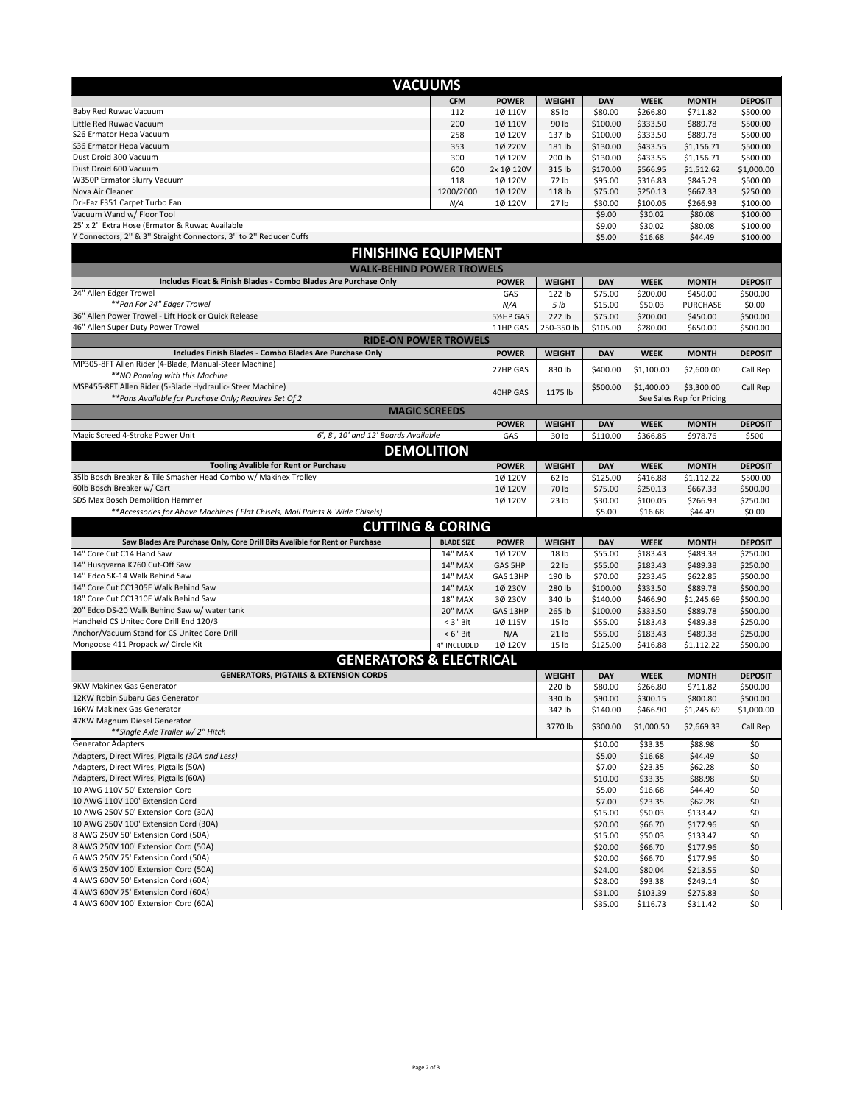| <b>VACUUMS</b>                                                                                                      |                           |                       |                           |                      |                      |                                         |                        |
|---------------------------------------------------------------------------------------------------------------------|---------------------------|-----------------------|---------------------------|----------------------|----------------------|-----------------------------------------|------------------------|
|                                                                                                                     | <b>CFM</b>                | <b>POWER</b>          | <b>WEIGHT</b>             | <b>DAY</b>           | <b>WEEK</b>          | <b>MONTH</b>                            | <b>DEPOSIT</b>         |
| Baby Red Ruwac Vacuum                                                                                               | 112                       | 1Ø 110V               | 85 lb                     | \$80.00              | \$266.80             | \$711.82                                | \$500.00               |
| Little Red Ruwac Vacuum                                                                                             | 200                       | 10 110V               | 90 lb                     | \$100.00             | \$333.50             | \$889.78                                | \$500.00               |
| S26 Ermator Hepa Vacuum                                                                                             | 258                       | 1Ø 120V               | 137 lb                    | \$100.00             | \$333.50             | \$889.78                                | \$500.00               |
| S36 Ermator Hepa Vacuum                                                                                             | 353                       | 1Ø 220V               | 181 lb                    | \$130.00             | \$433.55             | \$1,156.71                              | \$500.00               |
| Dust Droid 300 Vacuum<br>Dust Droid 600 Vacuum                                                                      | 300<br>600                | 1Ø 120V<br>2x 1Ø 120V | 200 lb<br>315 lb          | \$130.00<br>\$170.00 | \$433.55<br>\$566.95 | \$1,156.71<br>\$1,512.62                | \$500.00<br>\$1,000.00 |
| W350P Ermator Slurry Vacuum                                                                                         | 118                       | 1Ø 120V               | 72 lb                     | \$95.00              | \$316.83             | \$845.29                                | \$500.00               |
| Nova Air Cleaner                                                                                                    | 1200/2000                 | 1Ø 120V               | 118 lb                    | \$75.00              | \$250.13             | \$667.33                                | \$250.00               |
| Dri-Eaz F351 Carpet Turbo Fan                                                                                       | N/A                       | 1Ø 120V               | 27 lb                     | \$30.00              | \$100.05             | \$266.93                                | \$100.00               |
| Vacuum Wand w/ Floor Tool                                                                                           |                           |                       |                           | \$9.00               | \$30.02              | \$80.08                                 | \$100.00               |
| 25' x 2" Extra Hose (Ermator & Ruwac Available<br>Y Connectors, 2" & 3" Straight Connectors, 3" to 2" Reducer Cuffs |                           |                       |                           | \$9.00               | \$30.02              | \$80.08                                 | \$100.00               |
|                                                                                                                     |                           |                       |                           | \$5.00               | \$16.68              | \$44.49                                 | \$100.00               |
| <b>FINISHING EQUIPMENT</b>                                                                                          |                           |                       |                           |                      |                      |                                         |                        |
| <b>WALK-BEHIND POWER TROWELS</b>                                                                                    |                           |                       |                           |                      |                      |                                         |                        |
| Includes Float & Finish Blades - Combo Blades Are Purchase Only                                                     |                           | <b>POWER</b>          | <b>WEIGHT</b>             | <b>DAY</b>           | <b>WEEK</b>          | <b>MONTH</b>                            | <b>DEPOSIT</b>         |
| 24" Allen Edger Trowel<br>**Pan For 24" Edger Trowel                                                                |                           | GAS<br>N/A            | 122 lb<br>5 lb            | \$75.00<br>\$15.00   | \$200.00<br>\$50.03  | \$450.00<br>PURCHASE                    | \$500.00<br>\$0.00     |
| 36" Allen Power Trowel - Lift Hook or Quick Release                                                                 |                           | 5%HP GAS              | 222 lb                    | \$75.00              | \$200.00             | \$450.00                                | \$500.00               |
| 46" Allen Super Duty Power Trowel                                                                                   |                           | 11HP GAS              | 250-350 lb                | \$105.00             | \$280.00             | \$650.00                                | \$500.00               |
| <b>RIDE-ON POWER TROWELS</b>                                                                                        |                           |                       |                           |                      |                      |                                         |                        |
| Includes Finish Blades - Combo Blades Are Purchase Only                                                             |                           | <b>POWER</b>          | <b>WEIGHT</b>             | DAY                  | <b>WEEK</b>          | <b>MONTH</b>                            | <b>DEPOSIT</b>         |
| MP305-8FT Allen Rider (4-Blade, Manual-Steer Machine)<br>**NO Panning with this Machine                             |                           | 27HP GAS              | 830 lb                    | \$400.00             | \$1,100.00           | \$2,600.00                              | Call Rep               |
| MSP455-8FT Allen Rider (5-Blade Hydraulic- Steer Machine)<br>**Pans Available for Purchase Only; Requires Set Of 2  |                           | 40HP GAS              | 1175 lb                   | \$500.00             | \$1,400.00           | \$3,300.00<br>See Sales Rep for Pricing | Call Rep               |
| <b>MAGIC SCREEDS</b>                                                                                                |                           |                       |                           |                      |                      |                                         |                        |
|                                                                                                                     |                           | <b>POWER</b>          | <b>WEIGHT</b>             | <b>DAY</b>           | <b>WEEK</b>          | <b>MONTH</b>                            | <b>DEPOSIT</b>         |
| 6', 8', 10' and 12' Boards Available<br>Magic Screed 4-Stroke Power Unit                                            |                           | GAS                   | 30 lb                     | \$110.00             | \$366.85             | \$978.76                                | \$500                  |
| <b>DEMOLITION</b>                                                                                                   |                           |                       |                           |                      |                      |                                         |                        |
| <b>Tooling Avalible for Rent or Purchase</b>                                                                        |                           | <b>POWER</b>          | <b>WEIGHT</b>             | DAY                  | <b>WEEK</b>          | <b>MONTH</b>                            | <b>DEPOSIT</b>         |
| 35lb Bosch Breaker & Tile Smasher Head Combo w/ Makinex Trolley                                                     |                           | 1Ø 120V               | 62 lb                     | \$125.00             | \$416.88             | \$1,112.22                              | \$500.00               |
| 60lb Bosch Breaker w/ Cart                                                                                          |                           | 1Ø 120V               | 70 lb                     | \$75.00              | \$250.13             | \$667.33                                | \$500.00               |
| SDS Max Bosch Demolition Hammer                                                                                     |                           | 1Ø 120V               | 23 <sub>lb</sub>          | \$30.00<br>\$5.00    | \$100.05             | \$266.93                                | \$250.00               |
| **Accessories for Above Machines ( Flat Chisels, Moil Points & Wide Chisels)                                        |                           |                       |                           |                      | \$16.68              | \$44.49                                 | \$0.00                 |
| <b>CUTTING &amp; CORING</b>                                                                                         |                           |                       |                           |                      |                      |                                         |                        |
| Saw Blades Are Purchase Only, Core Drill Bits Avalible for Rent or Purchase                                         | <b>BLADE SIZE</b>         | <b>POWER</b>          | <b>WEIGHT</b>             | <b>DAY</b>           | <b>WEEK</b>          | <b>MONTH</b>                            | <b>DEPOSIT</b>         |
| 14" Core Cut C14 Hand Saw<br>14" Husqvarna K760 Cut-Off Saw                                                         | <b>14" MAX</b>            | 1Ø 120V               | 18 lb                     | \$55.00              | \$183.43             | \$489.38                                | \$250.00               |
| 14" Edco SK-14 Walk Behind Saw                                                                                      | 14" MAX<br>14" MAX        | GAS 5HP<br>GAS 13HP   | 22 lb<br>190 lb           | \$55.00<br>\$70.00   | \$183.43<br>\$233.45 | \$489.38<br>\$622.85                    | \$250.00<br>\$500.00   |
| 14" Core Cut CC1305E Walk Behind Saw                                                                                | <b>14" MAX</b>            | 1Ø 230V               | 280 lb                    | \$100.00             | \$333.50             | \$889.78                                | \$500.00               |
| 18" Core Cut CC1310E Walk Behind Saw                                                                                | <b>18" MAX</b>            | 3Ø 230V               | 340 lb                    | \$140.00             | \$466.90             | \$1,245.69                              | \$500.00               |
| 20" Edco DS-20 Walk Behind Saw w/ water tank                                                                        | <b>20" MAX</b>            | GAS 13HP              | 265 lb                    | \$100.00             | \$333.50             | \$889.78                                | \$500.00               |
| Handheld CS Unitec Core Drill End 120/3                                                                             | $<$ 3" Bit                | 1Ø 115V               | 15 lb                     | \$55.00              | \$183.43             | \$489.38                                | \$250.00               |
| Anchor/Vacuum Stand for CS Unitec Core Drill<br>Mongoose 411 Propack w/ Circle Kit                                  | $<$ 6" Bit<br>4" INCLUDED | N/A<br>1Ø 120V        | 21 <sub>1b</sub><br>15 lb | \$55.00<br>\$125.00  | \$183.43<br>\$416.88 | \$489.38<br>\$1,112.22                  | \$250.00<br>\$500.00   |
|                                                                                                                     |                           |                       |                           |                      |                      |                                         |                        |
| <b>GENERATORS &amp; ELECTRICAL</b>                                                                                  |                           |                       |                           |                      |                      |                                         |                        |
| <b>GENERATORS, PIGTAILS &amp; EXTENSION CORDS</b>                                                                   |                           |                       | <b>WEIGHT</b>             | <b>DAY</b>           | <b>WEEK</b>          | <b>MONTH</b>                            | <b>DEPOSIT</b>         |
| 9KW Makinex Gas Generator<br>12KW Robin Subaru Gas Generator                                                        |                           |                       | 220 lb<br>330 lb          | \$80.00<br>\$90.00   | \$266.80<br>\$300.15 | \$711.82<br>\$800.80                    | \$500.00<br>\$500.00   |
| 16KW Makinex Gas Generator                                                                                          |                           |                       | 342 lb                    | \$140.00             | \$466.90             | \$1,245.69                              | \$1,000.00             |
| 47KW Magnum Diesel Generator                                                                                        |                           |                       | 3770 lb                   | \$300.00             |                      |                                         | Call Rep               |
| **Single Axle Trailer w/ 2" Hitch                                                                                   |                           |                       |                           |                      | \$1,000.50           | \$2,669.33                              |                        |
| <b>Generator Adapters</b>                                                                                           |                           |                       |                           | \$10.00              | \$33.35              | \$88.98                                 | \$0                    |
| Adapters, Direct Wires, Pigtails (30A and Less)<br>Adapters, Direct Wires, Pigtails (50A)                           |                           |                       |                           | \$5.00               | \$16.68              | \$44.49                                 | \$0                    |
| Adapters, Direct Wires, Pigtails (60A)                                                                              |                           |                       | \$7.00<br>\$10.00         | \$23.35<br>\$33.35   | \$62.28<br>\$88.98   | \$0<br>\$0                              |                        |
| 10 AWG 110V 50' Extension Cord                                                                                      |                           |                       | \$5.00                    | \$16.68              | \$44.49              | \$0                                     |                        |
| 10 AWG 110V 100' Extension Cord                                                                                     |                           |                       | \$7.00                    | \$23.35              | \$62.28              | \$0                                     |                        |
| 10 AWG 250V 50' Extension Cord (30A)                                                                                |                           |                       | \$15.00                   | \$50.03              | \$133.47             | \$0                                     |                        |
| 10 AWG 250V 100' Extension Cord (30A)                                                                               |                           |                       | \$20.00                   | \$66.70              | \$177.96             | \$0                                     |                        |
| 8 AWG 250V 50' Extension Cord (50A)<br>8 AWG 250V 100' Extension Cord (50A)                                         |                           |                       | \$15.00                   | \$50.03              | \$133.47             | \$0                                     |                        |
| 6 AWG 250V 75' Extension Cord (50A)                                                                                 |                           |                       |                           | \$20.00<br>\$20.00   | \$66.70<br>\$66.70   | \$177.96<br>\$177.96                    | \$0<br>\$0             |
| 6 AWG 250V 100' Extension Cord (50A)                                                                                |                           |                       |                           | \$24.00              | \$80.04              | \$213.55                                | \$0                    |
| 4 AWG 600V 50' Extension Cord (60A)                                                                                 |                           |                       |                           | \$28.00              | \$93.38              | \$249.14                                | \$0                    |
| 4 AWG 600V 75' Extension Cord (60A)                                                                                 |                           |                       |                           | \$31.00              | \$103.39             | \$275.83                                | \$0                    |
| 4 AWG 600V 100' Extension Cord (60A)                                                                                |                           |                       | \$35.00                   | \$116.73             | \$311.42             | \$0                                     |                        |